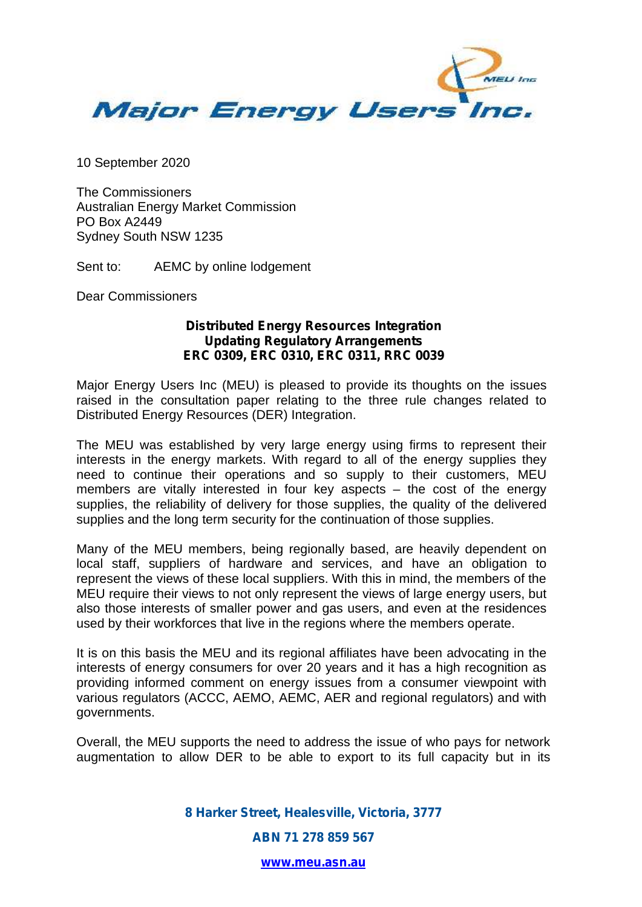

10 September 2020

The Commissioners Australian Energy Market Commission PO Box A2449 Sydney South NSW 1235

Sent to: AEMC by online lodgement

Dear Commissioners

## **Distributed Energy Resources Integration Updating Regulatory Arrangements ERC 0309, ERC 0310, ERC 0311, RRC 0039**

Major Energy Users Inc (MEU) is pleased to provide its thoughts on the issues raised in the consultation paper relating to the three rule changes related to Distributed Energy Resources (DER) Integration.

The MEU was established by very large energy using firms to represent their interests in the energy markets. With regard to all of the energy supplies they need to continue their operations and so supply to their customers, MEU members are vitally interested in four key aspects – the cost of the energy supplies, the reliability of delivery for those supplies, the quality of the delivered supplies and the long term security for the continuation of those supplies.

Many of the MEU members, being regionally based, are heavily dependent on local staff, suppliers of hardware and services, and have an obligation to represent the views of these local suppliers. With this in mind, the members of the MEU require their views to not only represent the views of large energy users, but also those interests of smaller power and gas users, and even at the residences used by their workforces that live in the regions where the members operate.

It is on this basis the MEU and its regional affiliates have been advocating in the interests of energy consumers for over 20 years and it has a high recognition as providing informed comment on energy issues from a consumer viewpoint with various regulators (ACCC, AEMO, AEMC, AER and regional regulators) and with governments.

Overall, the MEU supports the need to address the issue of who pays for network augmentation to allow DER to be able to export to its full capacity but in its

> *8 Harker Street, Healesville, Victoria, 3777 ABN 71 278 859 567*

> > *www.meu.asn.au*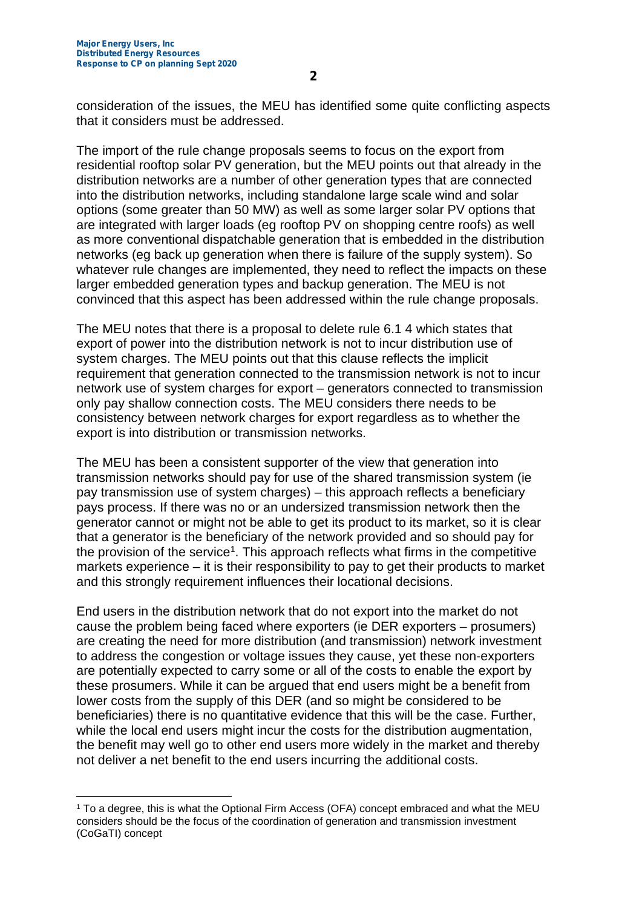consideration of the issues, the MEU has identified some quite conflicting aspects that it considers must be addressed.

The import of the rule change proposals seems to focus on the export from residential rooftop solar PV generation, but the MEU points out that already in the distribution networks are a number of other generation types that are connected into the distribution networks, including standalone large scale wind and solar options (some greater than 50 MW) as well as some larger solar PV options that are integrated with larger loads (eg rooftop PV on shopping centre roofs) as well as more conventional dispatchable generation that is embedded in the distribution networks (eg back up generation when there is failure of the supply system). So whatever rule changes are implemented, they need to reflect the impacts on these larger embedded generation types and backup generation. The MEU is not convinced that this aspect has been addressed within the rule change proposals.

The MEU notes that there is a proposal to delete rule 6.1 4 which states that export of power into the distribution network is not to incur distribution use of system charges. The MEU points out that this clause reflects the implicit requirement that generation connected to the transmission network is not to incur network use of system charges for export – generators connected to transmission only pay shallow connection costs. The MEU considers there needs to be consistency between network charges for export regardless as to whether the export is into distribution or transmission networks.

The MEU has been a consistent supporter of the view that generation into transmission networks should pay for use of the shared transmission system (ie pay transmission use of system charges) – this approach reflects a beneficiary pays process. If there was no or an undersized transmission network then the generator cannot or might not be able to get its product to its market, so it is clear that a generator is the beneficiary of the network provided and so should pay for the provision of the service<sup>1</sup>. This approach reflects what firms in the competitive markets experience – it is their responsibility to pay to get their products to market and this strongly requirement influences their locational decisions.

End users in the distribution network that do not export into the market do not cause the problem being faced where exporters (ie DER exporters – prosumers) are creating the need for more distribution (and transmission) network investment to address the congestion or voltage issues they cause, yet these non-exporters are potentially expected to carry some or all of the costs to enable the export by these prosumers. While it can be argued that end users might be a benefit from lower costs from the supply of this DER (and so might be considered to be beneficiaries) there is no quantitative evidence that this will be the case. Further, while the local end users might incur the costs for the distribution augmentation, the benefit may well go to other end users more widely in the market and thereby not deliver a net benefit to the end users incurring the additional costs.

<sup>1</sup> To a degree, this is what the Optional Firm Access (OFA) concept embraced and what the MEU considers should be the focus of the coordination of generation and transmission investment (CoGaTI) concept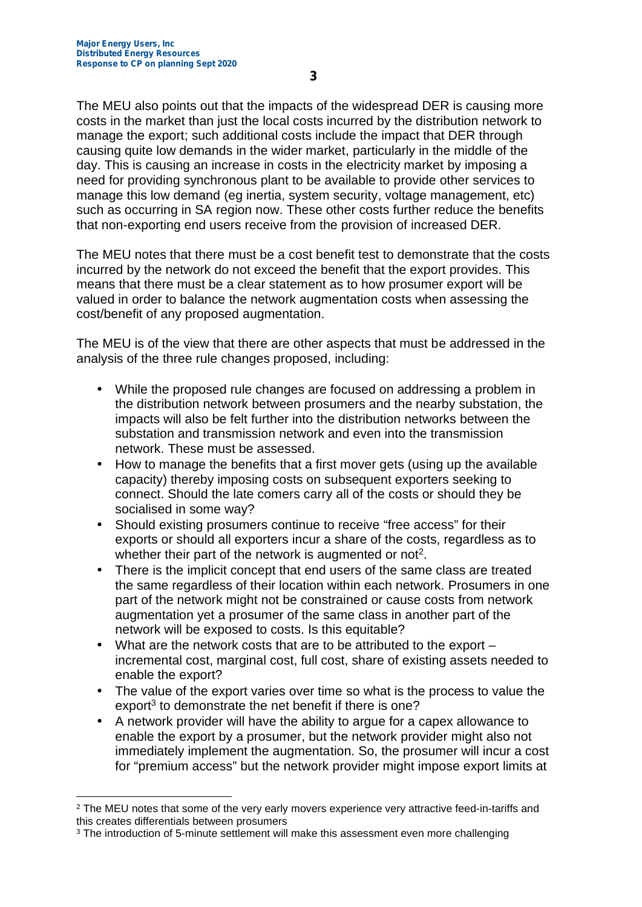The MEU also points out that the impacts of the widespread DER is causing more costs in the market than just the local costs incurred by the distribution network to manage the export; such additional costs include the impact that DER through causing quite low demands in the wider market, particularly in the middle of the day. This is causing an increase in costs in the electricity market by imposing a need for providing synchronous plant to be available to provide other services to manage this low demand (eg inertia, system security, voltage management, etc) such as occurring in SA region now. These other costs further reduce the benefits that non-exporting end users receive from the provision of increased DER.

The MEU notes that there must be a cost benefit test to demonstrate that the costs incurred by the network do not exceed the benefit that the export provides. This means that there must be a clear statement as to how prosumer export will be valued in order to balance the network augmentation costs when assessing the cost/benefit of any proposed augmentation.

The MEU is of the view that there are other aspects that must be addressed in the analysis of the three rule changes proposed, including:

- While the proposed rule changes are focused on addressing a problem in the distribution network between prosumers and the nearby substation, the impacts will also be felt further into the distribution networks between the substation and transmission network and even into the transmission network. These must be assessed.
- How to manage the benefits that a first mover gets (using up the available capacity) thereby imposing costs on subsequent exporters seeking to connect. Should the late comers carry all of the costs or should they be socialised in some way?
- Should existing prosumers continue to receive "free access" for their exports or should all exporters incur a share of the costs, regardless as to whether their part of the network is augmented or not<sup>2</sup>.
- There is the implicit concept that end users of the same class are treated the same regardless of their location within each network. Prosumers in one part of the network might not be constrained or cause costs from network augmentation yet a prosumer of the same class in another part of the network will be exposed to costs. Is this equitable?
- What are the network costs that are to be attributed to the export incremental cost, marginal cost, full cost, share of existing assets needed to enable the export?
- The value of the export varies over time so what is the process to value the export<sup>3</sup> to demonstrate the net benefit if there is one?
- A network provider will have the ability to argue for a capex allowance to enable the export by a prosumer, but the network provider might also not immediately implement the augmentation. So, the prosumer will incur a cost for "premium access" but the network provider might impose export limits at

<sup>&</sup>lt;sup>2</sup> The MEU notes that some of the very early movers experience very attractive feed-in-tariffs and this creates differentials between prosumers

<sup>3</sup> The introduction of 5-minute settlement will make this assessment even more challenging